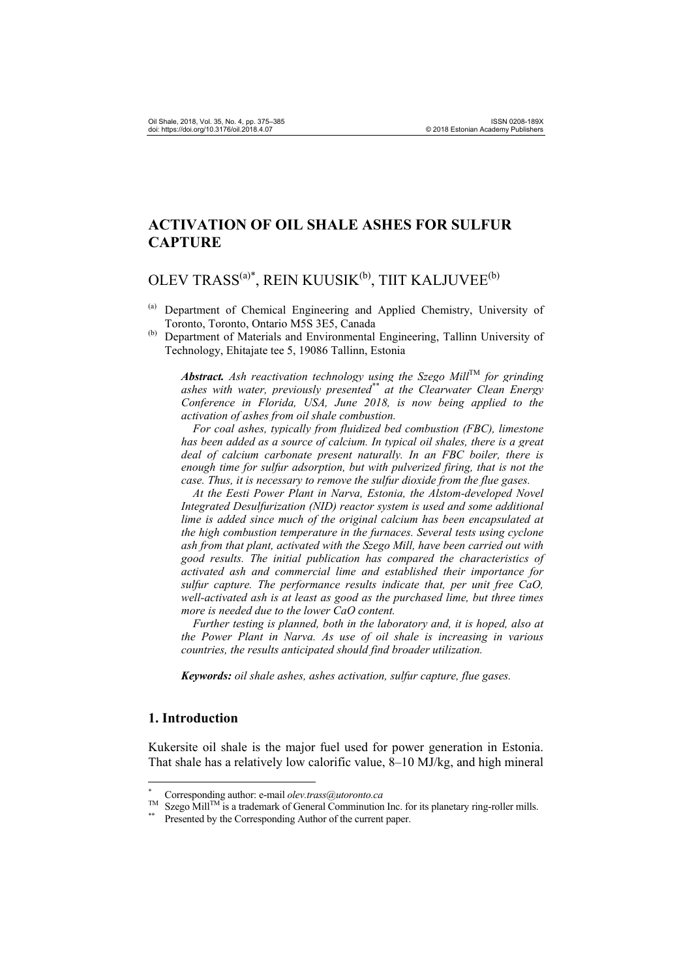# **ACTIVATION OF OIL SHALE ASHES FOR SULFUR CAPTURE**

# OLEV TRASS<sup>(a)\*</sup>, REIN KUUSIK<sup>(b)</sup>, TIIT KALJUVEE<sup>(b)</sup>

- (a) Department of Chemical Engineering and Applied Chemistry, University of Toronto, Toronto, Ontario M5S 3E5, Canada
- (b) Department of Materials and Environmental Engineering, Tallinn University of Technology, Ehitajate tee 5, 19086 Tallinn, Estonia

*Abstract.* Ash reactivation technology using the Szego Mill<sup>TM</sup> for grinding *ashes with water, previously presented\*\* at the Clearwater Clean Energy Conference in Florida, USA, June 2018, is now being applied to the activation of ashes from oil shale combustion.* 

 *For coal ashes, typically from fluidized bed combustion (FBC), limestone has been added as a source of calcium. In typical oil shales, there is a great deal of calcium carbonate present naturally. In an FBC boiler, there is enough time for sulfur adsorption, but with pulverized firing, that is not the case. Thus, it is necessary to remove the sulfur dioxide from the flue gases.* 

 *At the Eesti Power Plant in Narva, Estonia, the Alstom-developed Novel Integrated Desulfurization (NID) reactor system is used and some additional lime is added since much of the original calcium has been encapsulated at the high combustion temperature in the furnaces. Several tests using cyclone ash from that plant, activated with the Szego Mill, have been carried out with good results. The initial publication has compared the characteristics of activated ash and commercial lime and established their importance for sulfur capture. The performance results indicate that, per unit free CaO, well-activated ash is at least as good as the purchased lime, but three times more is needed due to the lower CaO content.* 

 *Further testing is planned, both in the laboratory and, it is hoped, also at the Power Plant in Narva. As use of oil shale is increasing in various countries, the results anticipated should find broader utilization.* 

*Keywords: oil shale ashes, ashes activation, sulfur capture, flue gases.* 

## **1. Introduction**

 $\overline{a}$ 

Kukersite oil shale is the major fuel used for power generation in Estonia. That shale has a relatively low calorific value, 8–10 MJ/kg, and high mineral

<sup>\*</sup>

<sup>&</sup>lt;sup>\*</sup> Corresponding author: e-mail *olev.trass@utoronto.ca* TM Szego Mill<sup>TM</sup> is a trademark of General Comminution Inc. for its planetary ring-roller mills. \*\* Presented by the Corresponding Author of the current paper.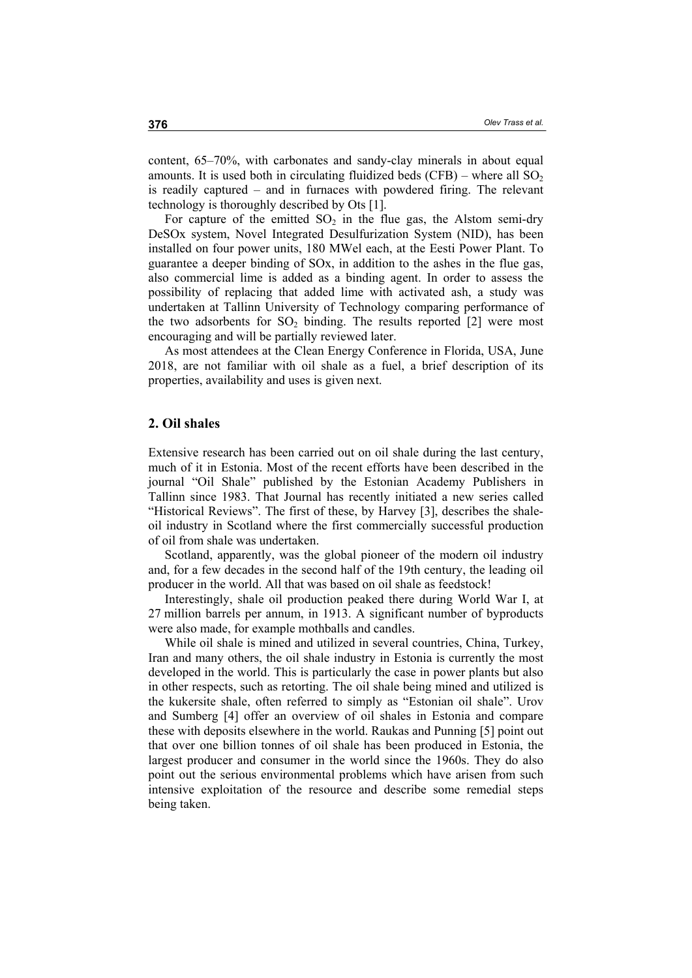content, 65–70%, with carbonates and sandy-clay minerals in about equal amounts. It is used both in circulating fluidized beds  $(CFB)$  – where all  $SO<sub>2</sub>$ is readily captured – and in furnaces with powdered firing. The relevant technology is thoroughly described by Ots [1].

For capture of the emitted  $SO_2$  in the flue gas, the Alstom semi-dry DeSOx system, Novel Integrated Desulfurization System (NID), has been installed on four power units, 180 MWel each, at the Eesti Power Plant. To guarantee a deeper binding of SOx, in addition to the ashes in the flue gas, also commercial lime is added as a binding agent. In order to assess the possibility of replacing that added lime with activated ash, a study was undertaken at Tallinn University of Technology comparing performance of the two adsorbents for  $SO_2$  binding. The results reported [2] were most encouraging and will be partially reviewed later.

As most attendees at the Clean Energy Conference in Florida, USA, June 2018, are not familiar with oil shale as a fuel, a brief description of its properties, availability and uses is given next.

#### **2. Oil shales**

Extensive research has been carried out on oil shale during the last century, much of it in Estonia. Most of the recent efforts have been described in the journal "Oil Shale" published by the Estonian Academy Publishers in Tallinn since 1983. That Journal has recently initiated a new series called "Historical Reviews". The first of these, by Harvey [3], describes the shaleoil industry in Scotland where the first commercially successful production of oil from shale was undertaken.

Scotland, apparently, was the global pioneer of the modern oil industry and, for a few decades in the second half of the 19th century, the leading oil producer in the world. All that was based on oil shale as feedstock!

Interestingly, shale oil production peaked there during World War I, at 27 million barrels per annum, in 1913. A significant number of byproducts were also made, for example mothballs and candles.

While oil shale is mined and utilized in several countries, China, Turkey, Iran and many others, the oil shale industry in Estonia is currently the most developed in the world. This is particularly the case in power plants but also in other respects, such as retorting. The oil shale being mined and utilized is the kukersite shale, often referred to simply as "Estonian oil shale". Urov and Sumberg [4] offer an overview of oil shales in Estonia and compare these with deposits elsewhere in the world. Raukas and Punning [5] point out that over one billion tonnes of oil shale has been produced in Estonia, the largest producer and consumer in the world since the 1960s. They do also point out the serious environmental problems which have arisen from such intensive exploitation of the resource and describe some remedial steps being taken.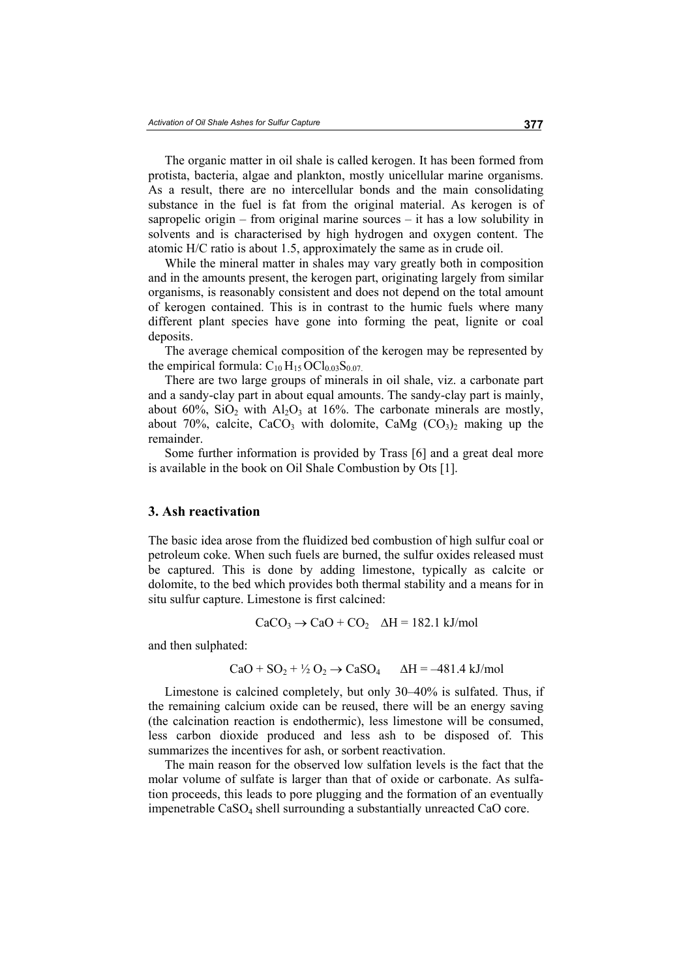The organic matter in oil shale is called kerogen. It has been formed from protista, bacteria, algae and plankton, mostly unicellular marine organisms. As a result, there are no intercellular bonds and the main consolidating substance in the fuel is fat from the original material. As kerogen is of sapropelic origin – from original marine sources – it has a low solubility in solvents and is characterised by high hydrogen and oxygen content. The atomic H/C ratio is about 1.5, approximately the same as in crude oil.

While the mineral matter in shales may vary greatly both in composition and in the amounts present, the kerogen part, originating largely from similar organisms, is reasonably consistent and does not depend on the total amount of kerogen contained. This is in contrast to the humic fuels where many different plant species have gone into forming the peat, lignite or coal deposits.

The average chemical composition of the kerogen may be represented by the empirical formula:  $C_{10} H_{15} OCl_{0.03} S_{0.07}$ .

There are two large groups of minerals in oil shale, viz. a carbonate part and a sandy-clay part in about equal amounts. The sandy-clay part is mainly, about 60%,  $SiO<sub>2</sub>$  with  $Al<sub>2</sub>O<sub>3</sub>$  at 16%. The carbonate minerals are mostly, about 70%, calcite, CaCO<sub>3</sub> with dolomite, CaMg  $(CO<sub>3</sub>)<sub>2</sub>$  making up the remainder.

Some further information is provided by Trass [6] and a great deal more is available in the book on Oil Shale Combustion by Ots [1].

#### **3. Ash reactivation**

The basic idea arose from the fluidized bed combustion of high sulfur coal or petroleum coke. When such fuels are burned, the sulfur oxides released must be captured. This is done by adding limestone, typically as calcite or dolomite, to the bed which provides both thermal stability and a means for in situ sulfur capture. Limestone is first calcined:

$$
CaCO3 \rightarrow CaO + CO2 \quad \Delta H = 182.1 \text{ kJ/mol}
$$

and then sulphated:

$$
CaO + SO2 + \frac{1}{2}O2 \rightarrow CaSO4 \qquad \Delta H = -481.4 \text{ kJ/mol}
$$

Limestone is calcined completely, but only 30–40% is sulfated. Thus, if the remaining calcium oxide can be reused, there will be an energy saving (the calcination reaction is endothermic), less limestone will be consumed, less carbon dioxide produced and less ash to be disposed of. This summarizes the incentives for ash, or sorbent reactivation.

The main reason for the observed low sulfation levels is the fact that the molar volume of sulfate is larger than that of oxide or carbonate. As sulfation proceeds, this leads to pore plugging and the formation of an eventually impenetrable CaSO4 shell surrounding a substantially unreacted CaO core.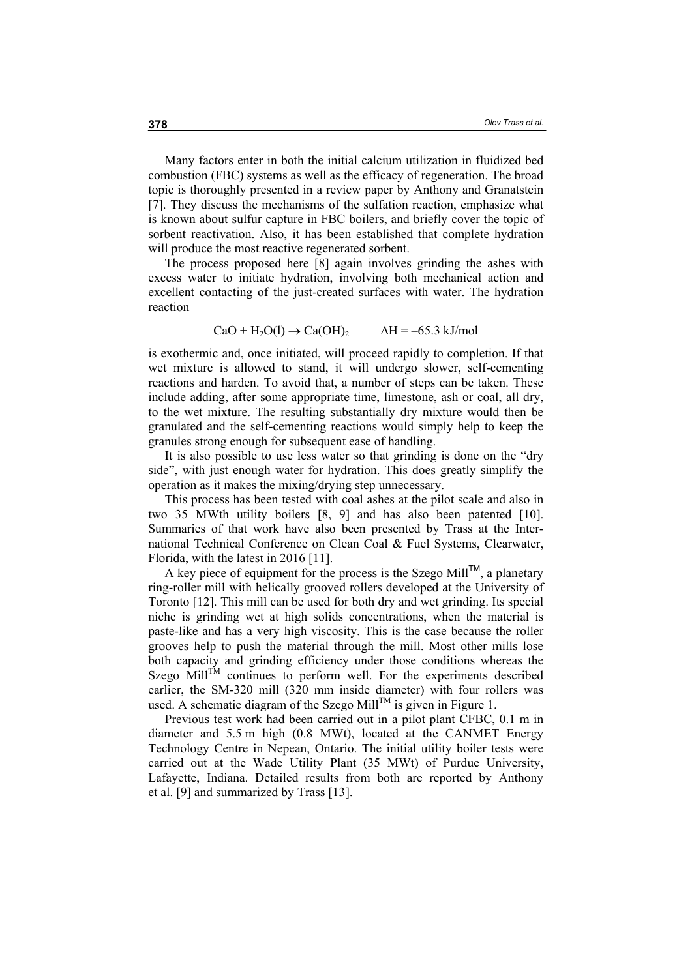Many factors enter in both the initial calcium utilization in fluidized bed combustion (FBC) systems as well as the efficacy of regeneration. The broad topic is thoroughly presented in a review paper by Anthony and Granatstein [7]. They discuss the mechanisms of the sulfation reaction, emphasize what is known about sulfur capture in FBC boilers, and briefly cover the topic of sorbent reactivation. Also, it has been established that complete hydration will produce the most reactive regenerated sorbent.

The process proposed here [8] again involves grinding the ashes with excess water to initiate hydration, involving both mechanical action and excellent contacting of the just-created surfaces with water. The hydration reaction

$$
CaO + H_2O(l) \rightarrow Ca(OH)_2 \qquad \Delta H = -65.3 \text{ kJ/mol}
$$

is exothermic and, once initiated, will proceed rapidly to completion. If that wet mixture is allowed to stand, it will undergo slower, self-cementing reactions and harden. To avoid that, a number of steps can be taken. These include adding, after some appropriate time, limestone, ash or coal, all dry, to the wet mixture. The resulting substantially dry mixture would then be granulated and the self-cementing reactions would simply help to keep the granules strong enough for subsequent ease of handling.

It is also possible to use less water so that grinding is done on the "dry side", with just enough water for hydration. This does greatly simplify the operation as it makes the mixing/drying step unnecessary.

This process has been tested with coal ashes at the pilot scale and also in two 35 MWth utility boilers [8, 9] and has also been patented [10]. Summaries of that work have also been presented by Trass at the International Technical Conference on Clean Coal & Fuel Systems, Clearwater, Florida, with the latest in 2016 [11].

A key piece of equipment for the process is the Szego Mill<sup>TM</sup>, a planetary ring-roller mill with helically grooved rollers developed at the University of Toronto [12]. This mill can be used for both dry and wet grinding. Its special niche is grinding wet at high solids concentrations, when the material is paste-like and has a very high viscosity. This is the case because the roller grooves help to push the material through the mill. Most other mills lose both capacity and grinding efficiency under those conditions whereas the Szego Mill<sup>TM</sup> continues to perform well. For the experiments described earlier, the SM-320 mill (320 mm inside diameter) with four rollers was used. A schematic diagram of the Szego Mill<sup>TM</sup> is given in Figure 1.

Previous test work had been carried out in a pilot plant CFBC, 0.1 m in diameter and 5.5 m high (0.8 MWt), located at the CANMET Energy Technology Centre in Nepean, Ontario. The initial utility boiler tests were carried out at the Wade Utility Plant (35 MWt) of Purdue University, Lafayette, Indiana. Detailed results from both are reported by Anthony et al. [9] and summarized by Trass [13].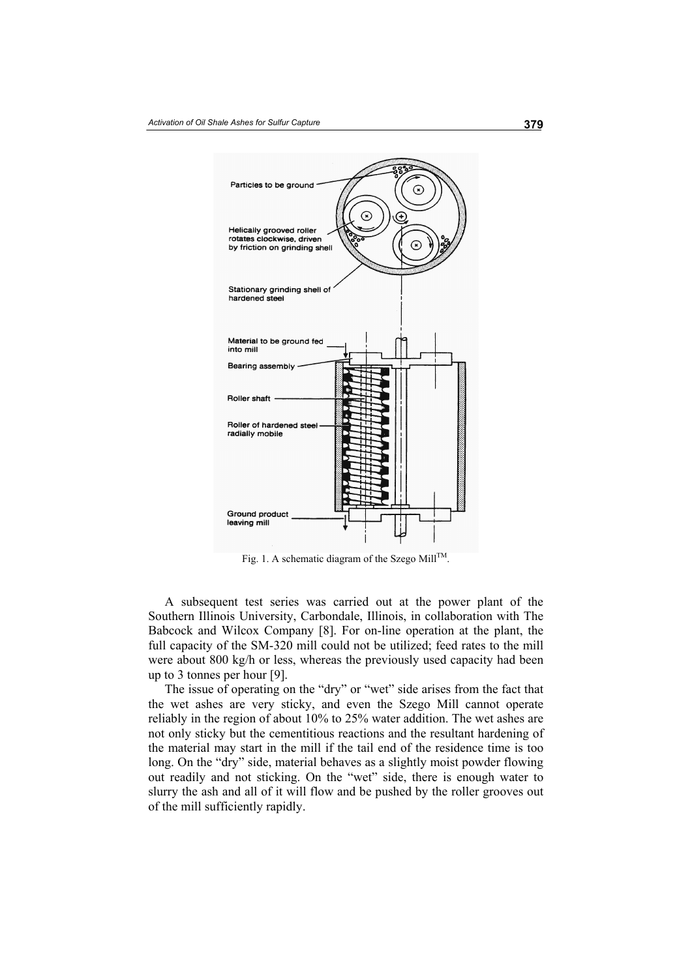

Fig. 1. A schematic diagram of the Szego Mill<sup>TM</sup>.

A subsequent test series was carried out at the power plant of the Southern Illinois University, Carbondale, Illinois, in collaboration with The Babcock and Wilcox Company [8]. For on-line operation at the plant, the full capacity of the SM-320 mill could not be utilized; feed rates to the mill were about 800 kg/h or less, whereas the previously used capacity had been up to 3 tonnes per hour [9].

The issue of operating on the "dry" or "wet" side arises from the fact that the wet ashes are very sticky, and even the Szego Mill cannot operate reliably in the region of about 10% to 25% water addition. The wet ashes are not only sticky but the cementitious reactions and the resultant hardening of the material may start in the mill if the tail end of the residence time is too long. On the "dry" side, material behaves as a slightly moist powder flowing out readily and not sticking. On the "wet" side, there is enough water to slurry the ash and all of it will flow and be pushed by the roller grooves out of the mill sufficiently rapidly.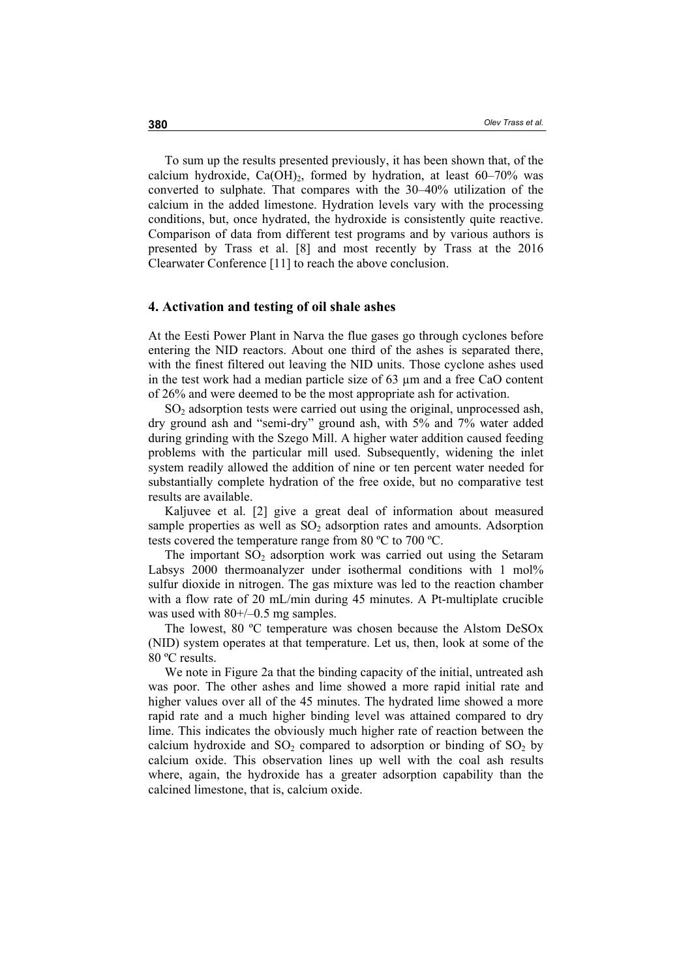To sum up the results presented previously, it has been shown that, of the calcium hydroxide, Ca(OH)<sub>2</sub>, formed by hydration, at least  $60-70\%$  was converted to sulphate. That compares with the 30–40% utilization of the calcium in the added limestone. Hydration levels vary with the processing conditions, but, once hydrated, the hydroxide is consistently quite reactive. Comparison of data from different test programs and by various authors is presented by Trass et al. [8] and most recently by Trass at the 2016 Clearwater Conference [11] to reach the above conclusion.

#### **4. Activation and testing of oil shale ashes**

At the Eesti Power Plant in Narva the flue gases go through cyclones before entering the NID reactors. About one third of the ashes is separated there, with the finest filtered out leaving the NID units. Those cyclone ashes used in the test work had a median particle size of 63 µm and a free CaO content of 26% and were deemed to be the most appropriate ash for activation.

 $SO<sub>2</sub>$  adsorption tests were carried out using the original, unprocessed ash, dry ground ash and "semi-dry" ground ash, with 5% and 7% water added during grinding with the Szego Mill. A higher water addition caused feeding problems with the particular mill used. Subsequently, widening the inlet system readily allowed the addition of nine or ten percent water needed for substantially complete hydration of the free oxide, but no comparative test results are available.

Kaljuvee et al. [2] give a great deal of information about measured sample properties as well as  $SO<sub>2</sub>$  adsorption rates and amounts. Adsorption tests covered the temperature range from 80 ºC to 700 ºC.

The important  $SO_2$  adsorption work was carried out using the Setaram Labsys 2000 thermoanalyzer under isothermal conditions with 1 mol% sulfur dioxide in nitrogen. The gas mixture was led to the reaction chamber with a flow rate of 20 mL/min during 45 minutes. A Pt-multiplate crucible was used with  $80+/-0.5$  mg samples.

The lowest, 80 ºC temperature was chosen because the Alstom DeSOx (NID) system operates at that temperature. Let us, then, look at some of the 80 ºC results.

We note in Figure 2a that the binding capacity of the initial, untreated ash was poor. The other ashes and lime showed a more rapid initial rate and higher values over all of the 45 minutes. The hydrated lime showed a more rapid rate and a much higher binding level was attained compared to dry lime. This indicates the obviously much higher rate of reaction between the calcium hydroxide and  $SO_2$  compared to adsorption or binding of  $SO_2$  by calcium oxide. This observation lines up well with the coal ash results where, again, the hydroxide has a greater adsorption capability than the calcined limestone, that is, calcium oxide.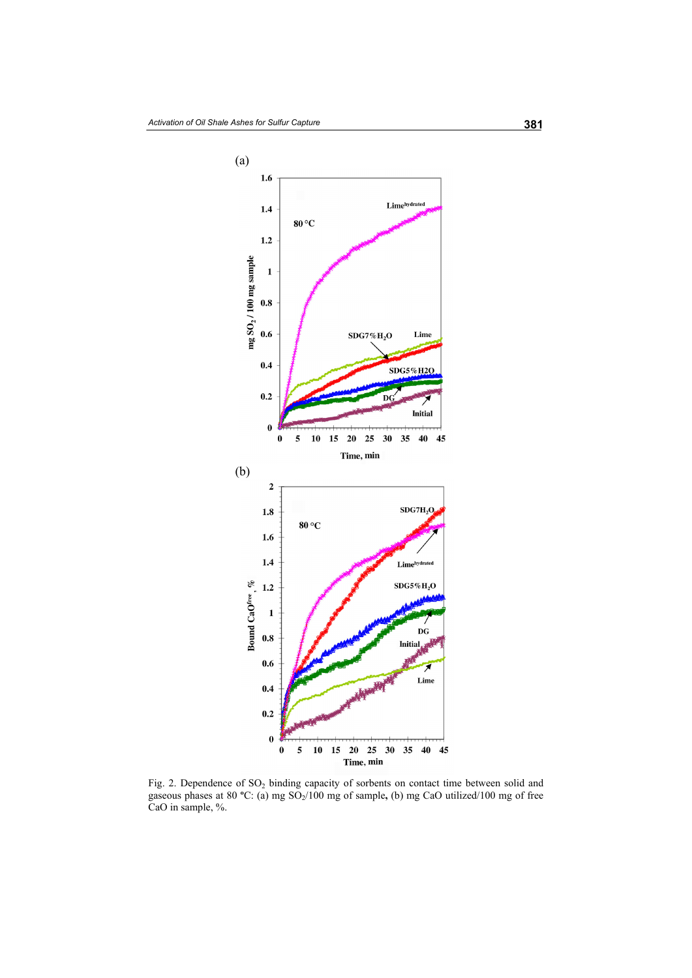

Fig. 2. Dependence of SO<sub>2</sub> binding capacity of sorbents on contact time between solid and gaseous phases at 80 °C: (a) mg SO<sub>2</sub>/100 mg of sample, (b) mg CaO utilized/100 mg of free CaO in sample, %.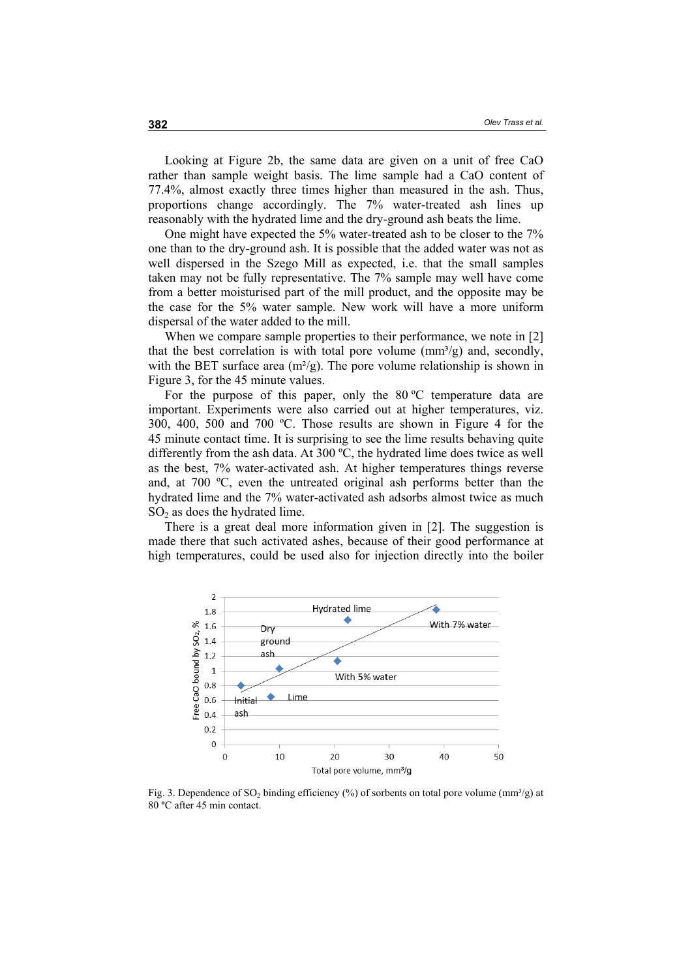Looking at Figure 2b, the same data are given on a unit of free CaO rather than sample weight basis. The lime sample had a CaO content of 77.4%, almost exactly three times higher than measured in the ash. Thus, proportions change accordingly. The 7% water-treated ash lines up reasonably with the hydrated lime and the dry-ground ash beats the lime.

One might have expected the 5% water-treated ash to be closer to the 7% one than to the dry-ground ash. It is possible that the added water was not as well dispersed in the Szego Mill as expected, i.e. that the small samples taken may not be fully representative. The 7% sample may well have come from a better moisturised part of the mill product, and the opposite may be the case for the 5% water sample. New work will have a more uniform dispersal of the water added to the mill.

When we compare sample properties to their performance, we note in [2] that the best correlation is with total pore volume  $\text{(mm}^3/\text{g})$  and, secondly, with the BET surface area  $(m^{2}/g)$ . The pore volume relationship is shown in Figure 3, for the 45 minute values.

For the purpose of this paper, only the 80 °C temperature data are important. Experiments were also carried out at higher temperatures, viz. 300, 400, 500 and 700 ºC. Those results are shown in Figure 4 for the 45 minute contact time. It is surprising to see the lime results behaving quite differently from the ash data. At 300 ºC, the hydrated lime does twice as well as the best, 7% water-activated ash. At higher temperatures things reverse and, at 700 ºC, even the untreated original ash performs better than the hydrated lime and the 7% water-activated ash adsorbs almost twice as much  $SO<sub>2</sub>$  as does the hydrated lime.

There is a great deal more information given in [2]. The suggestion is made there that such activated ashes, because of their good performance at high temperatures, could be used also for injection directly into the boiler



Fig. 3. Dependence of  $SO_2$  binding efficiency (%) of sorbents on total pore volume (mm<sup>3</sup>/g) at 80 **º**C after 45 min contact.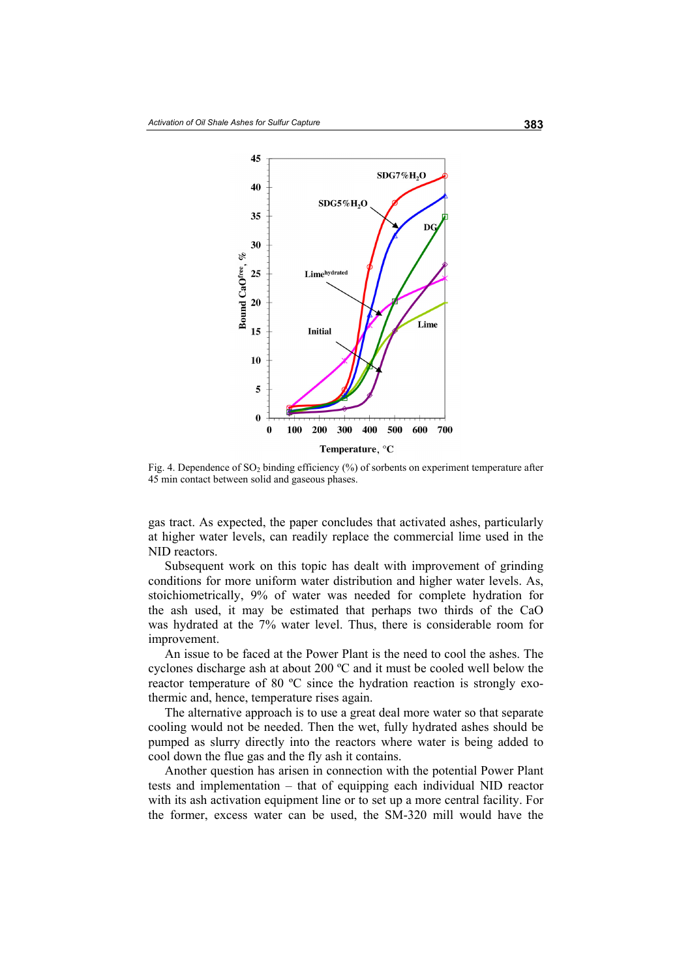

Fig. 4. Dependence of  $SO_2$  binding efficiency (%) of sorbents on experiment temperature after 45 min contact between solid and gaseous phases.

gas tract. As expected, the paper concludes that activated ashes, particularly at higher water levels, can readily replace the commercial lime used in the NID reactors.

Subsequent work on this topic has dealt with improvement of grinding conditions for more uniform water distribution and higher water levels. As, stoichiometrically, 9% of water was needed for complete hydration for the ash used, it may be estimated that perhaps two thirds of the CaO was hydrated at the 7% water level. Thus, there is considerable room for improvement.

An issue to be faced at the Power Plant is the need to cool the ashes. The cyclones discharge ash at about 200 ºC and it must be cooled well below the reactor temperature of 80 ºC since the hydration reaction is strongly exothermic and, hence, temperature rises again.

The alternative approach is to use a great deal more water so that separate cooling would not be needed. Then the wet, fully hydrated ashes should be pumped as slurry directly into the reactors where water is being added to cool down the flue gas and the fly ash it contains.

Another question has arisen in connection with the potential Power Plant tests and implementation – that of equipping each individual NID reactor with its ash activation equipment line or to set up a more central facility. For the former, excess water can be used, the SM-320 mill would have the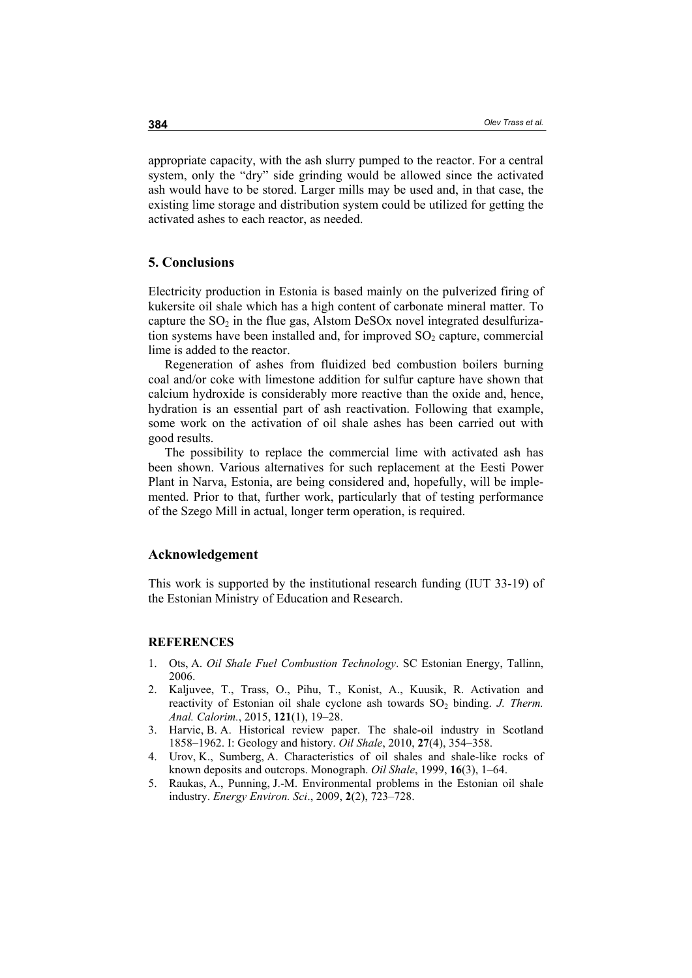appropriate capacity, with the ash slurry pumped to the reactor. For a central system, only the "dry" side grinding would be allowed since the activated ash would have to be stored. Larger mills may be used and, in that case, the existing lime storage and distribution system could be utilized for getting the activated ashes to each reactor, as needed.

### **5. Conclusions**

Electricity production in Estonia is based mainly on the pulverized firing of kukersite oil shale which has a high content of carbonate mineral matter. To capture the  $SO<sub>2</sub>$  in the flue gas, Alstom DeSOx novel integrated desulfurization systems have been installed and, for improved  $SO<sub>2</sub>$  capture, commercial lime is added to the reactor.

Regeneration of ashes from fluidized bed combustion boilers burning coal and/or coke with limestone addition for sulfur capture have shown that calcium hydroxide is considerably more reactive than the oxide and, hence, hydration is an essential part of ash reactivation. Following that example, some work on the activation of oil shale ashes has been carried out with good results.

The possibility to replace the commercial lime with activated ash has been shown. Various alternatives for such replacement at the Eesti Power Plant in Narva, Estonia, are being considered and, hopefully, will be implemented. Prior to that, further work, particularly that of testing performance of the Szego Mill in actual, longer term operation, is required.

### **Acknowledgement**

This work is supported by the institutional research funding (IUT 33-19) of the Estonian Ministry of Education and Research.

#### **REFERENCES**

- 1. Ots, A. *Oil Shale Fuel Combustion Technology*. SC Estonian Energy, Tallinn, 2006.
- 2. Kaljuvee, T., Trass, O., Pihu, T., Konist, A., Kuusik, R. Activation and reactivity of Estonian oil shale cyclone ash towards SO<sub>2</sub> binding. *J. Therm. Anal. Calorim.*, 2015, **121**(1), 19‒28.
- 3. Harvie, B. A. Historical review paper. The shale-oil industry in Scotland 1858‒1962. I: Geology and history. *Oil Shale*, 2010, **27**(4), 354‒358.
- 4. Urov, K., Sumberg, A. Characteristics of oil shales and shale-like rocks of known deposits and outcrops. Monograph. *Oil Shale*, 1999, 16(3), 1-64.
- 5. Raukas, A., Punning, J.-M. Environmental problems in the Estonian oil shale industry. *Energy Environ. Sci*., 2009, **2**(2), 723‒728.